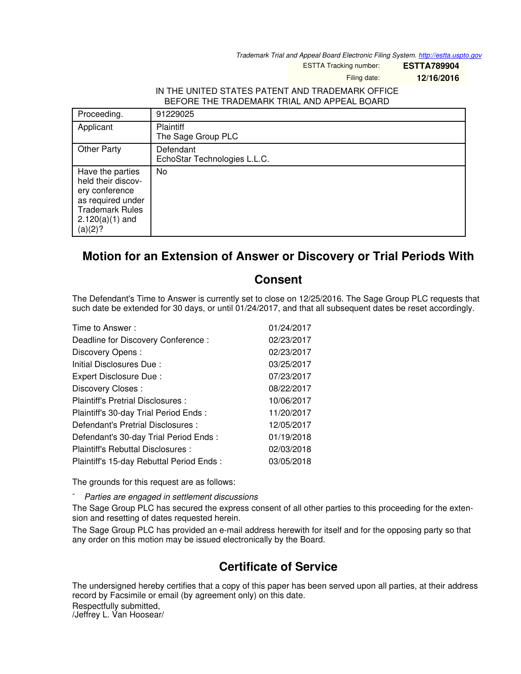*Trademark Trial and Appeal Board Electronic Filing System. <http://estta.uspto.gov>*

ESTTA Tracking number: **ESTTA789904**

Filing date: **12/16/2016**

## IN THE UNITED STATES PATENT AND TRADEMARK OFFICE BEFORE THE TRADEMARK TRIAL AND APPEAL BOARD

| Proceeding.                                                                                                                             | 91229025                                  |
|-----------------------------------------------------------------------------------------------------------------------------------------|-------------------------------------------|
| Applicant                                                                                                                               | Plaintiff<br>The Sage Group PLC           |
| <b>Other Party</b>                                                                                                                      | Defendant<br>EchoStar Technologies L.L.C. |
| Have the parties<br>held their discov-<br>ery conference<br>as required under<br><b>Trademark Rules</b><br>$2.120(a)(1)$ and<br>(a)(2)? | No                                        |

## **Motion for an Extension of Answer or Discovery or Trial Periods With**

## **Consent**

The Defendant's Time to Answer is currently set to close on 12/25/2016. The Sage Group PLC requests that such date be extended for 30 days, or until 01/24/2017, and that all subsequent dates be reset accordingly.

| Time to Answer:                          | 01/24/2017 |
|------------------------------------------|------------|
| Deadline for Discovery Conference :      | 02/23/2017 |
| Discovery Opens:                         | 02/23/2017 |
| Initial Disclosures Due:                 | 03/25/2017 |
| Expert Disclosure Due:                   | 07/23/2017 |
| Discovery Closes:                        | 08/22/2017 |
| Plaintiff's Pretrial Disclosures :       | 10/06/2017 |
| Plaintiff's 30-day Trial Period Ends:    | 11/20/2017 |
| Defendant's Pretrial Disclosures :       | 12/05/2017 |
| Defendant's 30-day Trial Period Ends:    | 01/19/2018 |
| Plaintiff's Rebuttal Disclosures:        | 02/03/2018 |
| Plaintiff's 15-day Rebuttal Period Ends: | 03/05/2018 |

The grounds for this request are as follows:

- *Parties are engaged in settlement discussions*

The Sage Group PLC has secured the express consent of all other parties to this proceeding for the extension and resetting of dates requested herein.

The Sage Group PLC has provided an e-mail address herewith for itself and for the opposing party so that any order on this motion may be issued electronically by the Board.

## **Certificate of Service**

The undersigned hereby certifies that a copy of this paper has been served upon all parties, at their address record by Facsimile or email (by agreement only) on this date. Respectfully submitted,

/Jeffrey L. Van Hoosear/